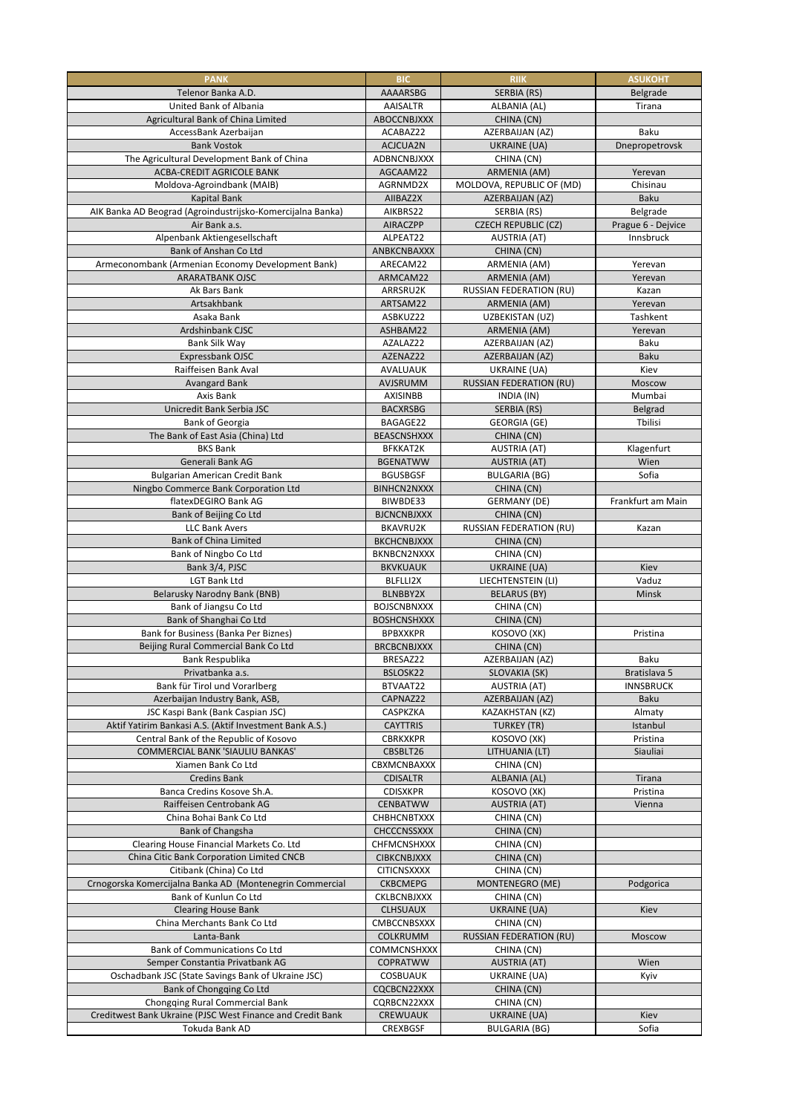| <b>PANK</b>                                                                         | <b>BIC</b>                            | <b>RIIK</b>                                    | <b>ASUKOHT</b>       |
|-------------------------------------------------------------------------------------|---------------------------------------|------------------------------------------------|----------------------|
| Telenor Banka A.D.                                                                  | <b>AAAARSBG</b>                       | SERBIA (RS)                                    | Belgrade             |
| United Bank of Albania                                                              | <b>AAISALTR</b>                       | ALBANIA (AL)                                   | Tirana               |
| Agricultural Bank of China Limited                                                  | ABOCCNBJXXX                           | CHINA (CN)                                     |                      |
| AccessBank Azerbaijan                                                               | ACABAZ22                              | AZERBAIJAN (AZ)                                | <b>Baku</b>          |
| <b>Bank Vostok</b><br>The Agricultural Development Bank of China                    | ACJCUA2N<br>ADBNCNBJXXX               | UKRAINE (UA)<br>CHINA (CN)                     | Dnepropetrovsk       |
| <b>ACBA-CREDIT AGRICOLE BANK</b>                                                    | AGCAAM22                              | <b>ARMENIA (AM)</b>                            | Yerevan              |
| Moldova-Agroindbank (MAIB)                                                          | AGRNMD2X                              | MOLDOVA, REPUBLIC OF (MD)                      | Chisinau             |
| <b>Kapital Bank</b>                                                                 | AIIBAZ2X                              | AZERBAIJAN (AZ)                                | <b>Baku</b>          |
| AIK Banka AD Beograd (Agroindustrijsko-Komercijalna Banka)                          | AIKBRS22                              | SERBIA (RS)                                    | Belgrade             |
| Air Bank a.s.                                                                       | <b>AIRACZPP</b>                       | <b>CZECH REPUBLIC (CZ)</b>                     | Prague 6 - Dejvice   |
| Alpenbank Aktiengesellschaft                                                        | ALPEAT22                              | <b>AUSTRIA (AT)</b>                            | Innsbruck            |
| Bank of Anshan Co Ltd<br>Armeconombank (Armenian Economy Development Bank)          | ANBKCNBAXXX<br>ARECAM22               | CHINA (CN)<br>ARMENIA (AM)                     | Yerevan              |
| <b>ARARATBANK OJSC</b>                                                              | ARMCAM22                              | ARMENIA (AM)                                   | Yerevan              |
| Ak Bars Bank                                                                        | ARRSRU2K                              | <b>RUSSIAN FEDERATION (RU)</b>                 | Kazan                |
| Artsakhbank                                                                         | ARTSAM22                              | ARMENIA (AM)                                   | Yerevan              |
| Asaka Bank                                                                          | ASBKUZ22                              | UZBEKISTAN (UZ)                                | Tashkent             |
| Ardshinbank CJSC                                                                    | ASHBAM22                              | ARMENIA (AM)                                   | Yerevan              |
| Bank Silk Way                                                                       | AZALAZ22                              | AZERBAIJAN (AZ)                                | <b>Baku</b>          |
| Expressbank OJSC<br>Raiffeisen Bank Aval                                            | AZENAZ22<br>AVALUAUK                  | AZERBAIJAN (AZ)                                | <b>Baku</b><br>Kiev  |
| <b>Avangard Bank</b>                                                                | AVJSRUMM                              | UKRAINE (UA)<br><b>RUSSIAN FEDERATION (RU)</b> | Moscow               |
| Axis Bank                                                                           | <b>AXISINBB</b>                       | INDIA (IN)                                     | Mumbai               |
| Unicredit Bank Serbia JSC                                                           | <b>BACXRSBG</b>                       | SERBIA (RS)                                    | Belgrad              |
| <b>Bank of Georgia</b>                                                              | BAGAGE22                              | <b>GEORGIA (GE)</b>                            | Tbilisi              |
| The Bank of East Asia (China) Ltd                                                   | <b>BEASCNSHXXX</b>                    | CHINA (CN)                                     |                      |
| <b>BKS Bank</b>                                                                     | <b>BFKKAT2K</b>                       | <b>AUSTRIA (AT)</b>                            | Klagenfurt           |
| Generali Bank AG                                                                    | <b>BGENATWW</b><br><b>BGUSBGSF</b>    | <b>AUSTRIA (AT)</b><br><b>BULGARIA (BG)</b>    | Wien<br>Sofia        |
| <b>Bulgarian American Credit Bank</b><br>Ningbo Commerce Bank Corporation Ltd       | <b>BINHCN2NXXX</b>                    | CHINA (CN)                                     |                      |
| flatexDEGIRO Bank AG                                                                | BIWBDE33                              | <b>GERMANY (DE)</b>                            | Frankfurt am Main    |
| Bank of Beijing Co Ltd                                                              | <b>BJCNCNBJXXX</b>                    | CHINA (CN)                                     |                      |
| <b>LLC Bank Avers</b>                                                               | BKAVRU2K                              | <b>RUSSIAN FEDERATION (RU)</b>                 | Kazan                |
| <b>Bank of China Limited</b>                                                        | <b>BKCHCNBJXXX</b>                    | CHINA (CN)                                     |                      |
| Bank of Ningbo Co Ltd                                                               | BKNBCN2NXXX                           | CHINA (CN)                                     |                      |
| Bank 3/4, PJSC<br><b>LGT Bank Ltd</b>                                               | <b>BKVKUAUK</b><br>BLFLLI2X           | UKRAINE (UA)<br>LIECHTENSTEIN (LI)             | Kiev<br>Vaduz        |
| Belarusky Narodny Bank (BNB)                                                        | <b>BLNBBY2X</b>                       | <b>BELARUS (BY)</b>                            | Minsk                |
| Bank of Jiangsu Co Ltd                                                              | <b>BOJSCNBNXXX</b>                    | CHINA (CN)                                     |                      |
| Bank of Shanghai Co Ltd                                                             | <b>BOSHCNSHXXX</b>                    | CHINA (CN)                                     |                      |
| Bank for Business (Banka Per Biznes)                                                | <b>BPBXXKPR</b>                       | KOSOVO (XK)                                    | Pristina             |
| Beijing Rural Commercial Bank Co Ltd                                                | <b>BRCBCNBJXXX</b>                    | CHINA (CN)                                     |                      |
| Bank Respublika<br>Privatbanka a.s.                                                 | BRESAZ22<br>BSLOSK22                  | AZERBAIJAN (AZ)<br>SLOVAKIA (SK)               | Baku<br>Bratislava 5 |
| Bank für Tirol und Vorarlberg                                                       | BTVAAT22                              | <b>AUSTRIA (AT)</b>                            | <b>INNSBRUCK</b>     |
| Azerbaijan Industry Bank, ASB,                                                      | CAPNAZ22                              | AZERBAIJAN (AZ)                                | Baku                 |
| JSC Kaspi Bank (Bank Caspian JSC)                                                   | <b>CASPKZKA</b>                       | KAZAKHSTAN (KZ)                                | Almaty               |
| Aktif Yatirim Bankasi A.S. (Aktif Investment Bank A.S.)                             | <b>CAYTTRIS</b>                       | <b>TURKEY (TR)</b>                             | Istanbul             |
| Central Bank of the Republic of Kosovo                                              | <b>CBRKXKPR</b>                       | KOSOVO (XK)                                    | Pristina             |
| <b>COMMERCIAL BANK 'SIAULIU BANKAS'</b>                                             | CBSBLT26                              | LITHUANIA (LT)                                 | Siauliai             |
| Xiamen Bank Co Ltd<br><b>Credins Bank</b>                                           | CBXMCNBAXXX<br><b>CDISALTR</b>        | CHINA (CN)<br>ALBANIA (AL)                     | Tirana               |
| Banca Credins Kosove Sh.A.                                                          | <b>CDISXKPR</b>                       | KOSOVO (XK)                                    | Pristina             |
| Raiffeisen Centrobank AG                                                            | <b>CENBATWW</b>                       | <b>AUSTRIA (AT)</b>                            | Vienna               |
| China Bohai Bank Co Ltd                                                             | <b>CHBHCNBTXXX</b>                    | CHINA (CN)                                     |                      |
| Bank of Changsha                                                                    | <b>CHCCCNSSXXX</b>                    | CHINA (CN)                                     |                      |
| Clearing House Financial Markets Co. Ltd                                            | <b>CHFMCNSHXXX</b>                    | CHINA (CN)                                     |                      |
| China Citic Bank Corporation Limited CNCB                                           | <b>CIBKCNBJXXX</b>                    | CHINA (CN)                                     |                      |
| Citibank (China) Co Ltd<br>Crnogorska Komercijalna Banka AD (Montenegrin Commercial | <b>CITICNSXXXX</b><br><b>CKBCMEPG</b> | CHINA (CN)<br>MONTENEGRO (ME)                  | Podgorica            |
| Bank of Kunlun Co Ltd                                                               | <b>CKLBCNBJXXX</b>                    | CHINA (CN)                                     |                      |
| <b>Clearing House Bank</b>                                                          | <b>CLHSUAUX</b>                       | UKRAINE (UA)                                   | Kiev                 |
| China Merchants Bank Co Ltd                                                         | CMBCCNBSXXX                           | CHINA (CN)                                     |                      |
| Lanta-Bank                                                                          | <b>COLKRUMM</b>                       | <b>RUSSIAN FEDERATION (RU)</b>                 | Moscow               |
| <b>Bank of Communications Co Ltd</b>                                                | <b>COMMCNSHXXX</b>                    | CHINA (CN)                                     |                      |
| Semper Constantia Privatbank AG                                                     | COPRATWW                              | <b>AUSTRIA (AT)</b>                            | Wien                 |
| Oschadbank JSC (State Savings Bank of Ukraine JSC)<br>Bank of Chongqing Co Ltd      | <b>COSBUAUK</b><br>CQCBCN22XXX        | UKRAINE (UA)<br>CHINA (CN)                     | Kyiv                 |
| Chongqing Rural Commercial Bank                                                     | CQRBCN22XXX                           | CHINA (CN)                                     |                      |
| Creditwest Bank Ukraine (PJSC West Finance and Credit Bank                          | <b>CREWUAUK</b>                       | UKRAINE (UA)                                   | Kiev                 |
| Tokuda Bank AD                                                                      | <b>CREXBGSF</b>                       | <b>BULGARIA (BG)</b>                           | Sofia                |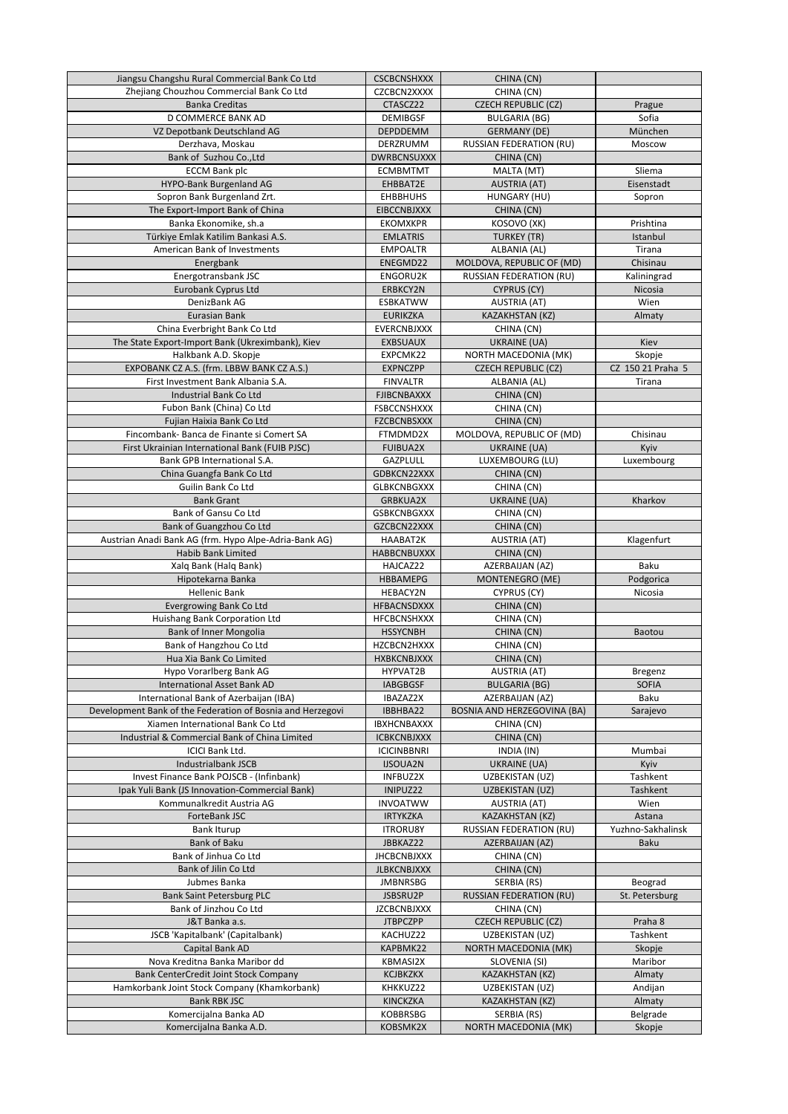| Jiangsu Changshu Rural Commercial Bank Co Ltd                                                        | <b>CSCBCNSHXXX</b>          | CHINA (CN)                                            |                             |
|------------------------------------------------------------------------------------------------------|-----------------------------|-------------------------------------------------------|-----------------------------|
| Zhejiang Chouzhou Commercial Bank Co Ltd                                                             | CZCBCN2XXXX                 | CHINA (CN)                                            |                             |
| <b>Banka Creditas</b>                                                                                | CTASCZ22                    | <b>CZECH REPUBLIC (CZ)</b>                            | Prague                      |
| D COMMERCE BANK AD                                                                                   | <b>DEMIBGSF</b>             | <b>BULGARIA (BG)</b>                                  | Sofia                       |
| VZ Depotbank Deutschland AG                                                                          | <b>DEPDDEMM</b>             | <b>GERMANY (DE)</b>                                   | München                     |
| Derzhava, Moskau                                                                                     | DERZRUMM                    | <b>RUSSIAN FEDERATION (RU)</b>                        | Moscow                      |
| Bank of Suzhou Co., Ltd                                                                              | <b>DWRBCNSUXXX</b>          | CHINA (CN)                                            | Sliema                      |
| <b>ECCM Bank plc</b><br>HYPO-Bank Burgenland AG                                                      | <b>ECMBMTMT</b><br>EHBBAT2E | MALTA (MT)<br><b>AUSTRIA (AT)</b>                     | Eisenstadt                  |
| Sopron Bank Burgenland Zrt.                                                                          | <b>EHBBHUHS</b>             | HUNGARY (HU)                                          | Sopron                      |
| The Export-Import Bank of China                                                                      | <b>EIBCCNBJXXX</b>          | CHINA (CN)                                            |                             |
| Banka Ekonomike, sh.a                                                                                | <b>EKOMXKPR</b>             | KOSOVO (XK)                                           | Prishtina                   |
| Türkiye Emlak Katilim Bankasi A.S.                                                                   | <b>EMLATRIS</b>             | <b>TURKEY (TR)</b>                                    | Istanbul                    |
| American Bank of Investments                                                                         | <b>EMPOALTR</b>             | ALBANIA (AL)                                          | Tirana                      |
| Energbank                                                                                            | ENEGMD22                    | MOLDOVA, REPUBLIC OF (MD)                             | Chisinau                    |
| Energotransbank JSC                                                                                  | ENGORU2K                    | <b>RUSSIAN FEDERATION (RU)</b>                        | Kaliningrad                 |
| Eurobank Cyprus Ltd                                                                                  | ERBKCY2N                    | <b>CYPRUS (CY)</b>                                    | Nicosia                     |
| DenizBank AG                                                                                         | <b>ESBKATWW</b>             | <b>AUSTRIA (AT)</b>                                   | Wien                        |
| <b>Eurasian Bank</b>                                                                                 | <b>EURIKZKA</b>             | <b>KAZAKHSTAN (KZ)</b>                                | Almaty                      |
| China Everbright Bank Co Ltd                                                                         | <b>EVERCNBJXXX</b>          | CHINA (CN)                                            |                             |
| The State Export-Import Bank (Ukreximbank), Kiev                                                     | <b>EXBSUAUX</b><br>EXPCMK22 | <b>UKRAINE (UA)</b>                                   | Kiev                        |
| Halkbank A.D. Skopje<br>EXPOBANK CZ A.S. (frm. LBBW BANK CZ A.S.)                                    | <b>EXPNCZPP</b>             | NORTH MACEDONIA (MK)<br><b>CZECH REPUBLIC (CZ)</b>    | Skopje<br>CZ 150 21 Praha 5 |
| First Investment Bank Albania S.A.                                                                   | <b>FINVALTR</b>             | ALBANIA (AL)                                          | Tirana                      |
| <b>Industrial Bank Co Ltd</b>                                                                        | <b>FJIBCNBAXXX</b>          | CHINA (CN)                                            |                             |
| Fubon Bank (China) Co Ltd                                                                            | <b>FSBCCNSHXXX</b>          | CHINA (CN)                                            |                             |
| Fujian Haixia Bank Co Ltd                                                                            | <b>FZCBCNBSXXX</b>          | CHINA (CN)                                            |                             |
| Fincombank-Banca de Finante si Comert SA                                                             | FTMDMD2X                    | MOLDOVA, REPUBLIC OF (MD)                             | Chisinau                    |
| First Ukrainian International Bank (FUIB PJSC)                                                       | <b>FUIBUA2X</b>             | <b>UKRAINE (UA)</b>                                   | Kyiv                        |
| Bank GPB International S.A.                                                                          | <b>GAZPLULL</b>             | LUXEMBOURG (LU)                                       | Luxembourg                  |
| China Guangfa Bank Co Ltd                                                                            | GDBKCN22XXX                 | CHINA (CN)                                            |                             |
| Guilin Bank Co Ltd                                                                                   | <b>GLBKCNBGXXX</b>          | CHINA (CN)                                            |                             |
| <b>Bank Grant</b>                                                                                    | <b>GRBKUA2X</b>             | <b>UKRAINE (UA)</b>                                   | Kharkov                     |
| Bank of Gansu Co Ltd                                                                                 | <b>GSBKCNBGXXX</b>          | CHINA (CN)                                            |                             |
| Bank of Guangzhou Co Ltd                                                                             | GZCBCN22XXX<br>HAABAT2K     | CHINA (CN)                                            |                             |
| Austrian Anadi Bank AG (frm. Hypo Alpe-Adria-Bank AG)<br><b>Habib Bank Limited</b>                   | <b>HABBCNBUXXX</b>          | <b>AUSTRIA (AT)</b><br>CHINA (CN)                     | Klagenfurt                  |
| Xalq Bank (Halq Bank)                                                                                | HAJCAZ22                    | AZERBAIJAN (AZ)                                       | <b>Baku</b>                 |
| Hipotekarna Banka                                                                                    | <b>HBBAMEPG</b>             | MONTENEGRO (ME)                                       | Podgorica                   |
| <b>Hellenic Bank</b>                                                                                 | HEBACY2N                    | CYPRUS (CY)                                           | Nicosia                     |
| <b>Evergrowing Bank Co Ltd</b>                                                                       | <b>HFBACNSDXXX</b>          | CHINA (CN)                                            |                             |
| Huishang Bank Corporation Ltd                                                                        | <b>HFCBCNSHXXX</b>          | CHINA (CN)                                            |                             |
| <b>Bank of Inner Mongolia</b>                                                                        | <b>HSSYCNBH</b>             | CHINA (CN)                                            | Baotou                      |
| Bank of Hangzhou Co Ltd                                                                              | HZCBCN2HXXX                 | CHINA (CN)                                            |                             |
| Hua Xia Bank Co Limited                                                                              | <b>HXBKCNBJXXX</b>          | CHINA (CN)                                            |                             |
| Hypo Vorarlberg Bank AG                                                                              | HYPVAT2B                    | <b>AUSTRIA (AT)</b>                                   | <b>Bregenz</b>              |
| <b>International Asset Bank AD</b>                                                                   | <b>IABGBGSF</b>             | <b>BULGARIA (BG)</b>                                  | <b>SOFIA</b>                |
| International Bank of Azerbaijan (IBA)<br>Development Bank of the Federation of Bosnia and Herzegovi | IBAZAZ2X<br>IBBHBA22        | AZERBAIJAN (AZ)<br><b>BOSNIA AND HERZEGOVINA (BA)</b> | <b>Baku</b>                 |
| Xiamen International Bank Co Ltd                                                                     | <b>IBXHCNBAXXX</b>          | CHINA (CN)                                            | Sarajevo                    |
| Industrial & Commercial Bank of China Limited                                                        | <b>ICBKCNBJXXX</b>          | CHINA (CN)                                            |                             |
| <b>ICICI Bank Ltd.</b>                                                                               | <b>ICICINBBNRI</b>          | INDIA (IN)                                            | Mumbai                      |
| <b>Industrialbank JSCB</b>                                                                           | <b>IJSOUA2N</b>             | UKRAINE (UA)                                          | Kyiv                        |
| Invest Finance Bank POJSCB - (Infinbank)                                                             | <b>INFBUZ2X</b>             | UZBEKISTAN (UZ)                                       | Tashkent                    |
| Ipak Yuli Bank (JS Innovation-Commercial Bank)                                                       | INIPUZ22                    | UZBEKISTAN (UZ)                                       | Tashkent                    |
| Kommunalkredit Austria AG                                                                            | <b>INVOATWW</b>             | <b>AUSTRIA (AT)</b>                                   | Wien                        |
| ForteBank JSC                                                                                        | <b>IRTYKZKA</b>             | KAZAKHSTAN (KZ)                                       | Astana                      |
| <b>Bank Iturup</b>                                                                                   | <b>ITRORUSY</b>             | <b>RUSSIAN FEDERATION (RU)</b>                        | Yuzhno-Sakhalinsk           |
| <b>Bank of Baku</b>                                                                                  | JBBKAZ22                    | AZERBAIJAN (AZ)                                       | <b>Baku</b>                 |
| Bank of Jinhua Co Ltd                                                                                | <b>JHCBCNBJXXX</b>          | CHINA (CN)                                            |                             |
| Bank of Jilin Co Ltd                                                                                 | <b>JLBKCNBJXXX</b>          | CHINA (CN)                                            |                             |
| Jubmes Banka                                                                                         | <b>JMBNRSBG</b><br>JSBSRU2P | SERBIA (RS)                                           | Beograd                     |
| <b>Bank Saint Petersburg PLC</b><br>Bank of Jinzhou Co Ltd                                           | <b>JZCBCNBJXXX</b>          | <b>RUSSIAN FEDERATION (RU)</b><br>CHINA (CN)          | St. Petersburg              |
| J&T Banka a.s.                                                                                       | <b>JTBPCZPP</b>             | <b>CZECH REPUBLIC (CZ)</b>                            | Praha 8                     |
| JSCB 'Kapitalbank' (Capitalbank)                                                                     | KACHUZ22                    | UZBEKISTAN (UZ)                                       | Tashkent                    |
| Capital Bank AD                                                                                      | KAPBMK22                    | NORTH MACEDONIA (MK)                                  | Skopje                      |
| Nova Kreditna Banka Maribor dd                                                                       | <b>KBMASI2X</b>             | SLOVENIA (SI)                                         | Maribor                     |
| <b>Bank CenterCredit Joint Stock Company</b>                                                         | <b>KCJBKZKX</b>             | KAZAKHSTAN (KZ)                                       | Almaty                      |
| Hamkorbank Joint Stock Company (Khamkorbank)                                                         | KHKKUZ22                    | UZBEKISTAN (UZ)                                       | Andijan                     |
| <b>Bank RBK JSC</b>                                                                                  | <b>KINCKZKA</b>             | KAZAKHSTAN (KZ)                                       | Almaty                      |
| Komercijalna Banka AD                                                                                | <b>KOBBRSBG</b>             | SERBIA (RS)                                           | Belgrade                    |
| Komercijalna Banka A.D.                                                                              | KOBSMK2X                    | NORTH MACEDONIA (MK)                                  | Skopje                      |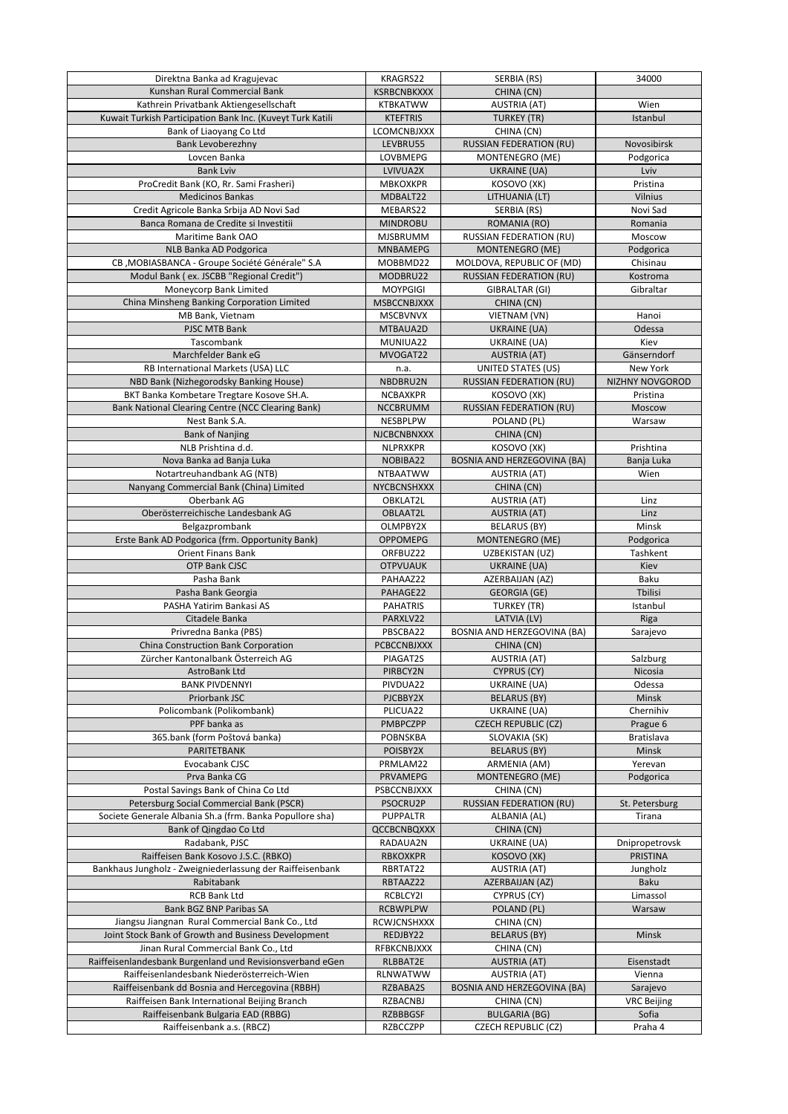| Direktna Banka ad Kragujevac                               | KRAGRS22                       | SERBIA (RS)                                  | 34000                |
|------------------------------------------------------------|--------------------------------|----------------------------------------------|----------------------|
| Kunshan Rural Commercial Bank                              | <b>KSRBCNBKXXX</b>             | CHINA (CN)                                   |                      |
| Kathrein Privatbank Aktiengesellschaft                     | <b>KTBKATWW</b>                | <b>AUSTRIA (AT)</b>                          | Wien                 |
| Kuwait Turkish Participation Bank Inc. (Kuveyt Turk Katili | <b>KTEFTRIS</b>                | <b>TURKEY (TR)</b>                           | Istanbul             |
| Bank of Liaoyang Co Ltd                                    | <b>LCOMCNBJXXX</b>             | CHINA (CN)                                   |                      |
| Bank Levoberezhny                                          | LEVBRU55                       | <b>RUSSIAN FEDERATION (RU)</b>               | Novosibirsk          |
| Lovcen Banka                                               | LOVBMEPG                       | MONTENEGRO (ME)                              | Podgorica            |
| <b>Bank Lviv</b>                                           | LVIVUA2X                       | UKRAINE (UA)                                 | Lviv                 |
| ProCredit Bank (KO, Rr. Sami Frasheri)                     | <b>MBKOXKPR</b>                | KOSOVO (XK)                                  | Pristina             |
| <b>Medicinos Bankas</b>                                    | MDBALT22                       | LITHUANIA (LT)                               | Vilnius              |
| Credit Agricole Banka Srbija AD Novi Sad                   | MEBARS22                       | SERBIA (RS)                                  | Novi Sad             |
| Banca Romana de Credite și Investiții                      | <b>MINDROBU</b>                | ROMANIA (RO)                                 | Romania              |
| Maritime Bank OAO                                          | <b>MJSBRUMM</b>                | <b>RUSSIAN FEDERATION (RU)</b>               | Moscow               |
| NLB Banka AD Podgorica                                     | <b>MNBAMEPG</b>                | MONTENEGRO (ME)                              | Podgorica            |
| CB, MOBIASBANCA - Groupe Société Générale" S.A             | MOBBMD22                       | MOLDOVA, REPUBLIC OF (MD)                    | Chisinau             |
| Modul Bank (ex. JSCBB "Regional Credit")                   | MODBRU22                       | <b>RUSSIAN FEDERATION (RU)</b>               | Kostroma             |
| Moneycorp Bank Limited                                     | <b>MOYPGIGI</b>                | GIBRALTAR (GI)                               | Gibraltar            |
| China Minsheng Banking Corporation Limited                 | <b>MSBCCNBJXXX</b>             | CHINA (CN)                                   |                      |
| MB Bank, Vietnam                                           | <b>MSCBVNVX</b>                | VIETNAM (VN)                                 | Hanoi                |
| PJSC MTB Bank                                              | MTBAUA2D                       | UKRAINE (UA)                                 | Odessa               |
| Tascombank                                                 | MUNIUA22                       | UKRAINE (UA)                                 | Kiev                 |
| Marchfelder Bank eG                                        | MVOGAT22                       | <b>AUSTRIA (AT)</b>                          | Gänserndorf          |
| RB International Markets (USA) LLC                         | n.a.                           | <b>UNITED STATES (US)</b>                    | New York             |
| NBD Bank (Nizhegorodsky Banking House)                     | NBDBRU2N                       | <b>RUSSIAN FEDERATION (RU)</b>               | NIZHNY NOVGOROD      |
| BKT Banka Kombetare Tregtare Kosove SH.A.                  | <b>NCBAXKPR</b>                | KOSOVO (XK)                                  | Pristina             |
| Bank National Clearing Centre (NCC Clearing Bank)          | <b>NCCBRUMM</b>                | <b>RUSSIAN FEDERATION (RU)</b>               | Moscow               |
| Nest Bank S.A.                                             | NESBPLPW                       | POLAND (PL)                                  | Warsaw               |
| <b>Bank of Nanjing</b>                                     | <b>NJCBCNBNXXX</b>             | CHINA (CN)                                   |                      |
| NLB Prishtina d.d.                                         | <b>NLPRXKPR</b>                | KOSOVO (XK)                                  | Prishtina            |
| Nova Banka ad Banja Luka                                   | NOBIBA22                       | <b>BOSNIA AND HERZEGOVINA (BA)</b>           | Banja Luka           |
| Notartreuhandbank AG (NTB)                                 | <b>NTBAATWW</b>                | <b>AUSTRIA (AT)</b>                          | Wien                 |
| Nanyang Commercial Bank (China) Limited                    | NYCBCNSHXXX                    | CHINA (CN)                                   |                      |
| Oberbank AG                                                | OBKLAT2L                       | <b>AUSTRIA (AT)</b>                          | Linz                 |
| Oberösterreichische Landesbank AG                          | OBLAAT2L                       | <b>AUSTRIA (AT)</b>                          | Linz                 |
| Belgazprombank                                             | OLMPBY2X                       | <b>BELARUS (BY)</b>                          | Minsk                |
| Erste Bank AD Podgorica (frm. Opportunity Bank)            | <b>OPPOMEPG</b>                | MONTENEGRO (ME)                              | Podgorica            |
| <b>Orient Finans Bank</b>                                  | ORFBUZ22                       | UZBEKISTAN (UZ)                              | Tashkent             |
| <b>OTP Bank CJSC</b>                                       | <b>OTPVUAUK</b>                | UKRAINE (UA)                                 | Kiev                 |
| Pasha Bank                                                 | PAHAAZ22                       | AZERBAIJAN (AZ)                              | <b>Baku</b>          |
| Pasha Bank Georgia                                         | PAHAGE22                       | <b>GEORGIA (GE)</b>                          | Tbilisi              |
| PASHA Yatirim Bankasi AS                                   | <b>PAHATRIS</b>                | <b>TURKEY (TR)</b>                           | Istanbul             |
| Citadele Banka                                             | PARXLV22                       | LATVIA (LV)                                  | Riga                 |
| Privredna Banka (PBS)                                      | PBSCBA22                       | <b>BOSNIA AND HERZEGOVINA (BA)</b>           | Sarajevo             |
| China Construction Bank Corporation                        | <b>PCBCCNBJXXX</b>             | CHINA (CN)                                   |                      |
| Zürcher Kantonalbank Österreich AG                         | PIAGAT2S                       | <b>AUSTRIA (AT)</b>                          | Salzburg             |
| AstroBank Ltd                                              | PIRBCY2N                       | <b>CYPRUS (CY)</b>                           | Nicosia              |
| <b>BANK PIVDENNYI</b>                                      | PIVDUA22                       | UKRAINE (UA)                                 | Odessa               |
| Priorbank JSC                                              | PJCBBY2X                       | <b>BELARUS (BY)</b>                          | Minsk                |
| Policombank (Polikombank)                                  | PLICUA22                       | <b>UKRAINE (UA)</b>                          | Chernihiv            |
| PPF banka as                                               | <b>PMBPCZPP</b>                | <b>CZECH REPUBLIC (CZ)</b>                   | Prague 6             |
| 365 bank (form Poštová banka)                              | <b>POBNSKBA</b>                | SLOVAKIA (SK)                                | Bratislava           |
| PARITETBANK                                                | POISBY2X                       | <b>BELARUS (BY)</b>                          | <b>Minsk</b>         |
| Evocabank CJSC<br>Prva Banka CG                            | PRMLAM22<br><b>PRVAMEPG</b>    | ARMENIA (AM)<br>MONTENEGRO (ME)              | Yerevan<br>Podgorica |
| Postal Savings Bank of China Co Ltd                        |                                |                                              |                      |
| Petersburg Social Commercial Bank (PSCR)                   | <b>PSBCCNBJXXX</b><br>PSOCRU2P | CHINA (CN)<br><b>RUSSIAN FEDERATION (RU)</b> | St. Petersburg       |
| Societe Generale Albania Sh.a (frm. Banka Popullore sha)   | <b>PUPPALTR</b>                | ALBANIA (AL)                                 | Tirana               |
| Bank of Qingdao Co Ltd                                     | <b>QCCBCNBQXXX</b>             | CHINA (CN)                                   |                      |
| Radabank, PJSC                                             | RADAUA2N                       | UKRAINE (UA)                                 | Dnipropetrovsk       |
| Raiffeisen Bank Kosovo J.S.C. (RBKO)                       | <b>RBKOXKPR</b>                | KOSOVO (XK)                                  | <b>PRISTINA</b>      |
| Bankhaus Jungholz - Zweigniederlassung der Raiffeisenbank  | RBRTAT22                       | <b>AUSTRIA (AT)</b>                          | Jungholz             |
| Rabitabank                                                 | RBTAAZ22                       | AZERBAIJAN (AZ)                              | <b>Baku</b>          |
| <b>RCB Bank Ltd</b>                                        | RCBLCY2I                       | <b>CYPRUS (CY)</b>                           | Limassol             |
| <b>Bank BGZ BNP Paribas SA</b>                             | <b>RCBWPLPW</b>                | POLAND (PL)                                  | Warsaw               |
| Jiangsu Jiangnan Rural Commercial Bank Co., Ltd            | <b>RCWJCNSHXXX</b>             | CHINA (CN)                                   |                      |
| Joint Stock Bank of Growth and Business Development        | REDJBY22                       | <b>BELARUS (BY)</b>                          | Minsk                |
| Jinan Rural Commercial Bank Co., Ltd                       | RFBKCNBJXXX                    | CHINA (CN)                                   |                      |
| Raiffeisenlandesbank Burgenland und Revisionsverband eGen  | RLBBAT2E                       | <b>AUSTRIA (AT)</b>                          | Eisenstadt           |
| Raiffeisenlandesbank Niederösterreich-Wien                 | RLNWATWW                       | <b>AUSTRIA (AT)</b>                          | Vienna               |
| Raiffeisenbank dd Bosnia and Hercegovina (RBBH)            | RZBABA2S                       | <b>BOSNIA AND HERZEGOVINA (BA)</b>           | Sarajevo             |
| Raiffeisen Bank International Beijing Branch               | <b>RZBACNBJ</b>                | CHINA (CN)                                   | <b>VRC Beijing</b>   |
| Raiffeisenbank Bulgaria EAD (RBBG)                         | <b>RZBBBGSF</b>                | <b>BULGARIA (BG)</b>                         | Sofia                |
| Raiffeisenbank a.s. (RBCZ)                                 | <b>RZBCCZPP</b>                | <b>CZECH REPUBLIC (CZ)</b>                   | Praha 4              |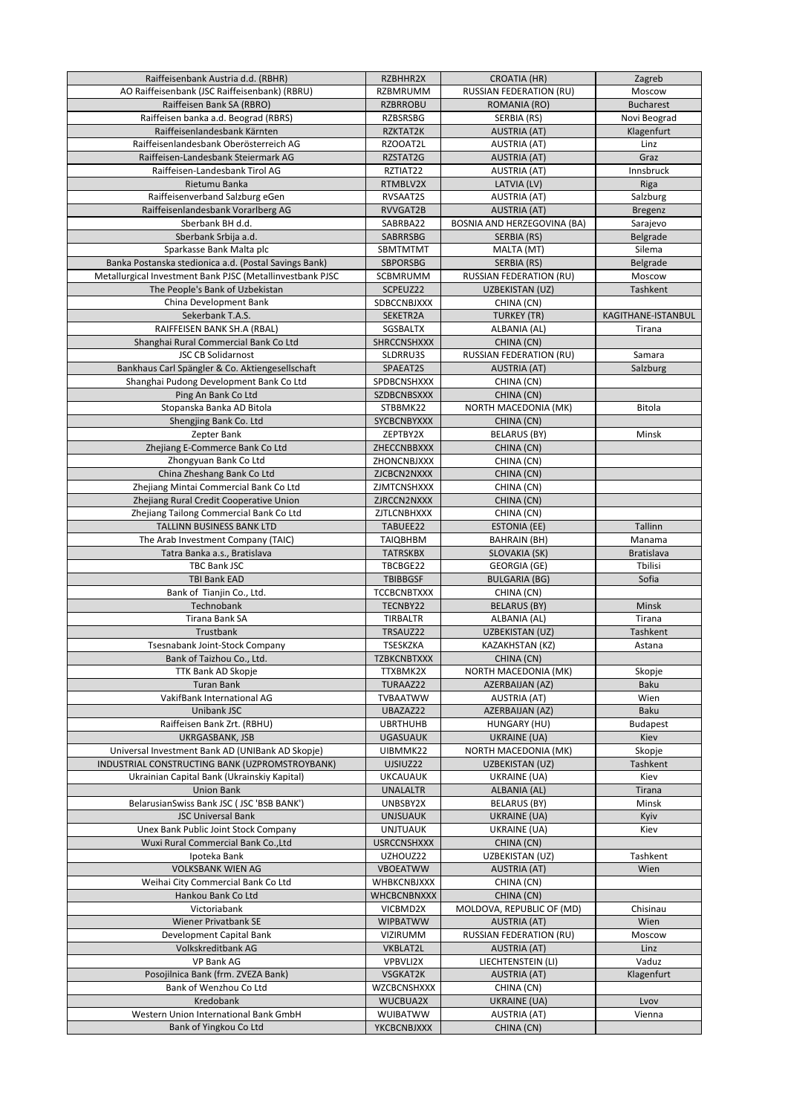| Raiffeisenbank Austria d.d. (RBHR)                                                         | RZBHHR2X                           | <b>CROATIA (HR)</b>                  | Zagreb                         |
|--------------------------------------------------------------------------------------------|------------------------------------|--------------------------------------|--------------------------------|
| AO Raiffeisenbank (JSC Raiffeisenbank) (RBRU)                                              | <b>RZBMRUMM</b>                    | RUSSIAN FEDERATION (RU)              | Moscow                         |
| Raiffeisen Bank SA (RBRO)                                                                  | <b>RZBRROBU</b>                    | ROMANIA (RO)                         | <b>Bucharest</b>               |
| Raiffeisen banka a.d. Beograd (RBRS)                                                       | <b>RZBSRSBG</b>                    | SERBIA (RS)                          | Novi Beograd                   |
| Raiffeisenlandesbank Kärnten                                                               | RZKTAT2K                           | <b>AUSTRIA (AT)</b>                  | Klagenfurt                     |
| Raiffeisenlandesbank Oberösterreich AG                                                     | RZOOAT2L                           | <b>AUSTRIA (AT)</b>                  | Linz                           |
| Raiffeisen-Landesbank Steiermark AG                                                        | RZSTAT2G                           | <b>AUSTRIA (AT)</b>                  | Graz                           |
| Raiffeisen-Landesbank Tirol AG<br>Rietumu Banka                                            | RZTIAT22<br>RTMBLV2X               | <b>AUSTRIA (AT)</b><br>LATVIA (LV)   | Innsbruck                      |
| Raiffeisenverband Salzburg eGen                                                            | RVSAAT2S                           | <b>AUSTRIA (AT)</b>                  | Riga<br>Salzburg               |
| Raiffeisenlandesbank Vorarlberg AG                                                         | RVVGAT2B                           | <b>AUSTRIA (AT)</b>                  | <b>Bregenz</b>                 |
| Sberbank BH d.d.                                                                           | SABRBA22                           | <b>BOSNIA AND HERZEGOVINA (BA)</b>   | Sarajevo                       |
| Sberbank Srbija a.d.                                                                       | SABRRSBG                           | SERBIA (RS)                          | Belgrade                       |
| Sparkasse Bank Malta plc                                                                   | <b>SBMTMTMT</b>                    | MALTA (MT)                           | Silema                         |
| Banka Postanska stedionica a.d. (Postal Savings Bank)                                      | <b>SBPORSBG</b>                    | SERBIA (RS)                          | Belgrade                       |
| Metallurgical Investment Bank PJSC (Metallinvestbank PJSC                                  | <b>SCBMRUMM</b>                    | <b>RUSSIAN FEDERATION (RU)</b>       | Moscow                         |
| The People's Bank of Uzbekistan                                                            | SCPEUZ22                           | UZBEKISTAN (UZ)                      | Tashkent                       |
| China Development Bank                                                                     | SDBCCNBJXXX                        | CHINA (CN)                           |                                |
| Sekerbank T.A.S.                                                                           | SEKETR2A                           | <b>TURKEY (TR)</b>                   | KAGITHANE-ISTANBUL             |
| RAIFFEISEN BANK SH.A (RBAL)                                                                | SGSBALTX                           | ALBANIA (AL)                         | Tirana                         |
| Shanghai Rural Commercial Bank Co Ltd                                                      | <b>SHRCCNSHXXX</b>                 | CHINA (CN)                           |                                |
| <b>JSC CB Solidarnost</b>                                                                  | SLDRRU3S                           | RUSSIAN FEDERATION (RU)              | Samara                         |
| Bankhaus Carl Spängler & Co. Aktiengesellschaft<br>Shanghai Pudong Development Bank Co Ltd | SPAEAT2S<br>SPDBCNSHXXX            | <b>AUSTRIA (AT)</b><br>CHINA (CN)    | Salzburg                       |
| Ping An Bank Co Ltd                                                                        | SZDBCNBSXXX                        | CHINA (CN)                           |                                |
| Stopanska Banka AD Bitola                                                                  | STBBMK22                           | NORTH MACEDONIA (MK)                 | <b>Bitola</b>                  |
| Shengjing Bank Co. Ltd                                                                     | SYCBCNBYXXX                        | CHINA (CN)                           |                                |
| Zepter Bank                                                                                | ZEPTBY2X                           | <b>BELARUS (BY)</b>                  | Minsk                          |
| Zhejiang E-Commerce Bank Co Ltd                                                            | ZHECCNBBXXX                        | CHINA (CN)                           |                                |
| Zhongyuan Bank Co Ltd                                                                      | ZHONCNBJXXX                        | CHINA (CN)                           |                                |
| China Zheshang Bank Co Ltd                                                                 | ZJCBCN2NXXX                        | CHINA (CN)                           |                                |
| Zhejiang Mintai Commercial Bank Co Ltd                                                     | <b>ZJMTCNSHXXX</b>                 | CHINA (CN)                           |                                |
| Zhejiang Rural Credit Cooperative Union                                                    | ZJRCCN2NXXX                        | CHINA (CN)                           |                                |
| Zhejiang Tailong Commercial Bank Co Ltd                                                    | ZJTLCNBHXXX                        | CHINA (CN)                           |                                |
| TALLINN BUSINESS BANK LTD                                                                  | TABUEE22                           | <b>ESTONIA (EE)</b>                  | Tallinn                        |
| The Arab Investment Company (TAIC)                                                         | <b>TAIQBHBM</b><br><b>TATRSKBX</b> | <b>BAHRAIN (BH)</b>                  | Manama<br><b>Bratislava</b>    |
| Tatra Banka a.s., Bratislava<br><b>TBC Bank JSC</b>                                        | TBCBGE22                           | SLOVAKIA (SK)<br><b>GEORGIA (GE)</b> | Tbilisi                        |
| <b>TBI Bank EAD</b>                                                                        | <b>TBIBBGSF</b>                    | <b>BULGARIA (BG)</b>                 | Sofia                          |
| Bank of Tianjin Co., Ltd.                                                                  | <b>TCCBCNBTXXX</b>                 | CHINA (CN)                           |                                |
| Technobank                                                                                 | TECNBY22                           | <b>BELARUS (BY)</b>                  | Minsk                          |
| Tirana Bank SA                                                                             | <b>TIRBALTR</b>                    | ALBANIA (AL)                         | Tirana                         |
| Trustbank                                                                                  | TRSAUZ22                           | UZBEKISTAN (UZ)                      | Tashkent                       |
| <b>Tsesnabank Joint-Stock Company</b>                                                      | <b>TSESKZKA</b>                    | KAZAKHSTAN (KZ)                      | Astana                         |
| Bank of Taizhou Co., Ltd.                                                                  | <b>TZBKCNBTXXX</b>                 | CHINA (CN)                           |                                |
| TTK Bank AD Skopje                                                                         | TTXBMK2X                           | NORTH MACEDONIA (MK)                 | Skopje                         |
| <b>Turan Bank</b>                                                                          | TURAAZ22                           | AZERBAIJAN (AZ)                      | <b>Baku</b>                    |
| VakifBank International AG                                                                 | <b>TVBAATWW</b>                    | <b>AUSTRIA (AT)</b>                  | Wien                           |
| Unibank JSC<br>Raiffeisen Bank Zrt. (RBHU)                                                 | UBAZAZ22<br><b>UBRTHUHB</b>        | AZERBAIJAN (AZ)<br>HUNGARY (HU)      | <b>Baku</b><br><b>Budapest</b> |
| UKRGASBANK, JSB                                                                            | <b>UGASUAUK</b>                    | <b>UKRAINE (UA)</b>                  | Kiev                           |
| Universal Investment Bank AD (UNIBank AD Skopje)                                           | UIBMMK22                           | NORTH MACEDONIA (MK)                 | Skopje                         |
| INDUSTRIAL CONSTRUCTING BANK (UZPROMSTROYBANK)                                             | UJSIUZ22                           | UZBEKISTAN (UZ)                      | Tashkent                       |
| Ukrainian Capital Bank (Ukrainskiy Kapital)                                                | <b>UKCAUAUK</b>                    | <b>UKRAINE (UA)</b>                  | Kiev                           |
| <b>Union Bank</b>                                                                          | <b>UNALALTR</b>                    | ALBANIA (AL)                         | Tirana                         |
| BelarusianSwiss Bank JSC (JSC 'BSB BANK')                                                  | UNBSBY2X                           | <b>BELARUS (BY)</b>                  | Minsk                          |
| <b>JSC Universal Bank</b>                                                                  | <b>UNJSUAUK</b>                    | UKRAINE (UA)                         | Kyiv                           |
| Unex Bank Public Joint Stock Company                                                       | <b>UNJTUAUK</b>                    | UKRAINE (UA)                         | Kiev                           |
| Wuxi Rural Commercial Bank Co., Ltd                                                        | <b>USRCCNSHXXX</b>                 | CHINA (CN)                           |                                |
| Ipoteka Bank                                                                               | UZHOUZ22                           | UZBEKISTAN (UZ)                      | Tashkent                       |
| <b>VOLKSBANK WIEN AG</b>                                                                   | <b>VBOEATWW</b><br>WHBKCNBJXXX     | <b>AUSTRIA (AT)</b>                  | Wien                           |
| Weihai City Commercial Bank Co Ltd<br>Hankou Bank Co Ltd                                   | WHCBCNBNXXX                        | CHINA (CN)<br>CHINA (CN)             |                                |
| Victoriabank                                                                               | VICBMD2X                           | MOLDOVA, REPUBLIC OF (MD)            | Chisinau                       |
| <b>Wiener Privatbank SE</b>                                                                | <b>WIPBATWW</b>                    | <b>AUSTRIA (AT)</b>                  | Wien                           |
| Development Capital Bank                                                                   | VIZIRUMM                           | <b>RUSSIAN FEDERATION (RU)</b>       | Moscow                         |
| Volkskreditbank AG                                                                         | VKBLAT2L                           | <b>AUSTRIA (AT)</b>                  | Linz                           |
| <b>VP Bank AG</b>                                                                          | VPBVLI2X                           | LIECHTENSTEIN (LI)                   | Vaduz                          |
| Posojilnica Bank (frm. ZVEZA Bank)                                                         | VSGKAT2K                           | <b>AUSTRIA (AT)</b>                  | Klagenfurt                     |
| Bank of Wenzhou Co Ltd                                                                     | WZCBCNSHXXX                        | CHINA (CN)                           |                                |
| Kredobank                                                                                  | WUCBUA2X                           | UKRAINE (UA)                         | Lvov                           |
| Western Union International Bank GmbH                                                      | <b>WUIBATWW</b>                    | <b>AUSTRIA (AT)</b>                  | Vienna                         |
| Bank of Yingkou Co Ltd                                                                     | YKCBCNBJXXX                        | CHINA (CN)                           |                                |